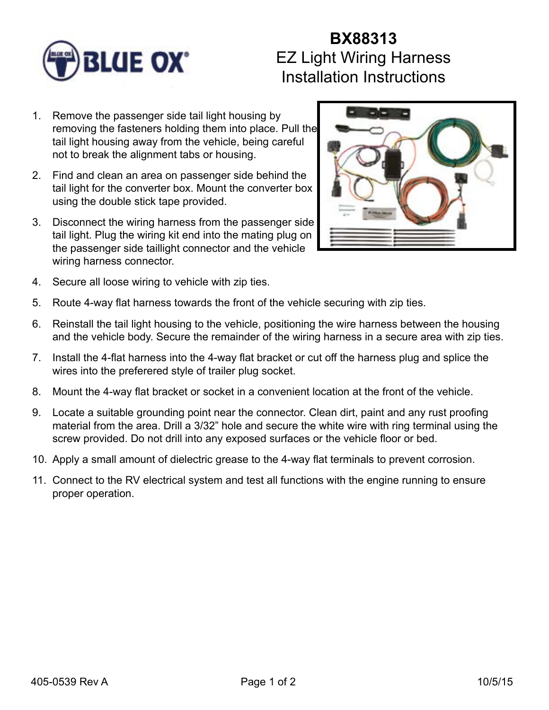

## **BX88313** EZ Light Wiring Harness Installation Instructions

- 1. Remove the passenger side tail light housing by removing the fasteners holding them into place. Pull the tail light housing away from the vehicle, being careful not to break the alignment tabs or housing.
- 2. Find and clean an area on passenger side behind the tail light for the converter box. Mount the converter box using the double stick tape provided.
- 3. Disconnect the wiring harness from the passenger side tail light. Plug the wiring kit end into the mating plug on the passenger side taillight connector and the vehicle wiring harness connector.



- 4. Secure all loose wiring to vehicle with zip ties.
- 5. Route 4-way flat harness towards the front of the vehicle securing with zip ties.
- 6. Reinstall the tail light housing to the vehicle, positioning the wire harness between the housing and the vehicle body. Secure the remainder of the wiring harness in a secure area with zip ties.
- 7. Install the 4-flat harness into the 4-way flat bracket or cut off the harness plug and splice the wires into the preferered style of trailer plug socket.
- 8. Mount the 4-way flat bracket or socket in a convenient location at the front of the vehicle.
- 9. Locate a suitable grounding point near the connector. Clean dirt, paint and any rust proofing material from the area. Drill a 3/32" hole and secure the white wire with ring terminal using the screw provided. Do not drill into any exposed surfaces or the vehicle floor or bed.
- 10. Apply a small amount of dielectric grease to the 4-way flat terminals to prevent corrosion.
- 11. Connect to the RV electrical system and test all functions with the engine running to ensure proper operation.